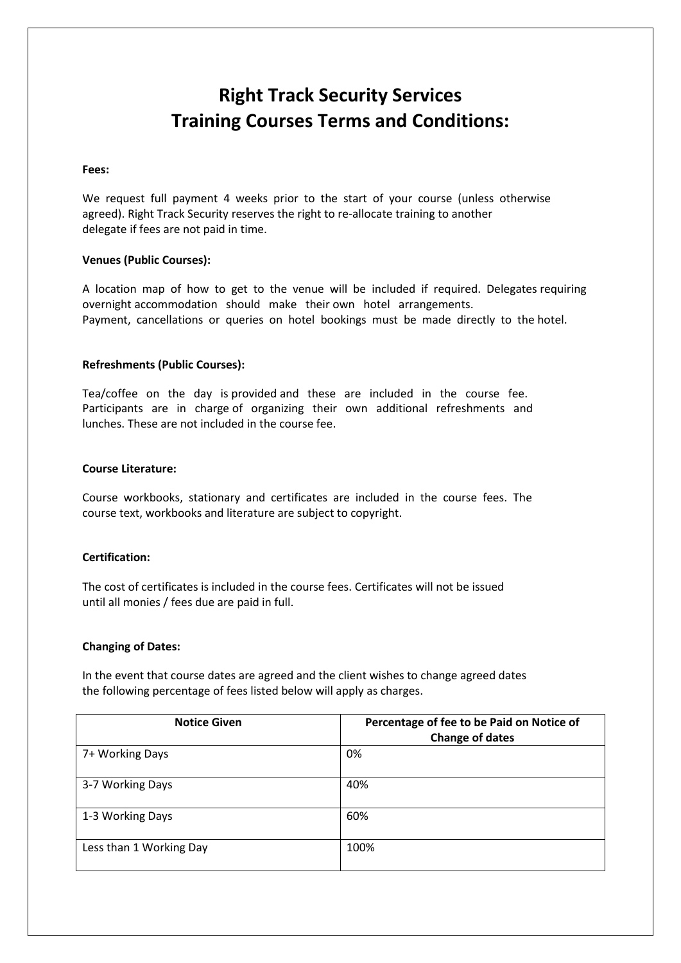# **Right Track Security Services Training Courses Terms and Conditions:**

#### **Fees:**

We request full payment 4 weeks prior to the start of your course (unless otherwise agreed). Right Track Security reserves the right to re-allocate training to another delegate if fees are not paid in time.

#### **Venues (Public Courses):**

A location map of how to get to the venue will be included if required. Delegates requiring overnight accommodation should make their own hotel arrangements. Payment, cancellations or queries on hotel bookings must be made directly to the hotel.

#### **Refreshments (Public Courses):**

Tea/coffee on the day is provided and these are included in the course fee. Participants are in charge of organizing their own additional refreshments and lunches. These are not included in the course fee.

#### **Course Literature:**

Course workbooks, stationary and certificates are included in the course fees. The course text, workbooks and literature are subject to copyright.

## **Certification:**

The cost of certificates is included in the course fees. Certificates will not be issued until all monies / fees due are paid in full.

#### **Changing of Dates:**

In the event that course dates are agreed and the client wishes to change agreed dates the following percentage of fees listed below will apply as charges.

| <b>Notice Given</b>     | Percentage of fee to be Paid on Notice of<br><b>Change of dates</b> |
|-------------------------|---------------------------------------------------------------------|
| 7+ Working Days         | 0%                                                                  |
| 3-7 Working Days        | 40%                                                                 |
| 1-3 Working Days        | 60%                                                                 |
| Less than 1 Working Day | 100%                                                                |